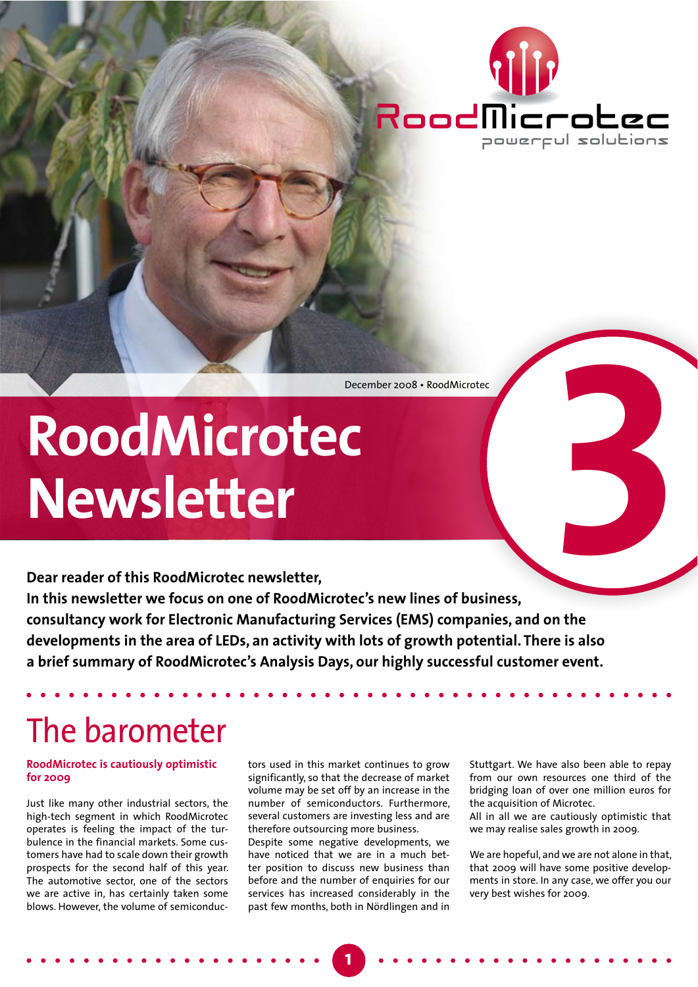

December 2008 · RoodMicrotec

# RoodMicrotec Newsletter

Dear reader of this RoodMicrotec newsletter. In this newsletter we focus on one of RoodMicrotec's new lines of business, consultancy work for Electronic Manufacturing Services (EMS) companies, and on the developments in the area of LEDs, an activity with lots of growth potential. There is also a brief summary of RoodMicrotec's Analysis Days, our highly successful customer event.

## The barometer

#### **RoodMicrotec is cautiously optimistic for 2009**

Just like many other industrial sectors, the high-tech segment in which RoodMicrotec operates is feeling the impact of the turbulence in the financial markets. Some customers have had to scale down their growth prospects for the second half of this year. The automotive sector, one of the sectors we are active in, has certainly taken some blows. However, the volume of semiconductors used in this market continues to grow significantly, so that the decrease of market volume may be set off by an increase in the number of semiconductors. Furthermore, several customers are investing less and are therefore outsourcing more business.

Despite some negative developments, we have noticed that we are in a much better position to discuss new business than before and the number of enquiries for our services has increased considerably in the past few months, both in Nördlingen and in Stuttgart. We have also been able to repay from our own resources one third of the bridging loan of over one million euros for the acquisition of Microtec.

All in all we are cautiously optimistic that we may realise sales growth in 2009.

We are hopeful, and we are not alone in that, that 2009 will have some positive developments in store. In any case, we offer you our very best wishes for 2009.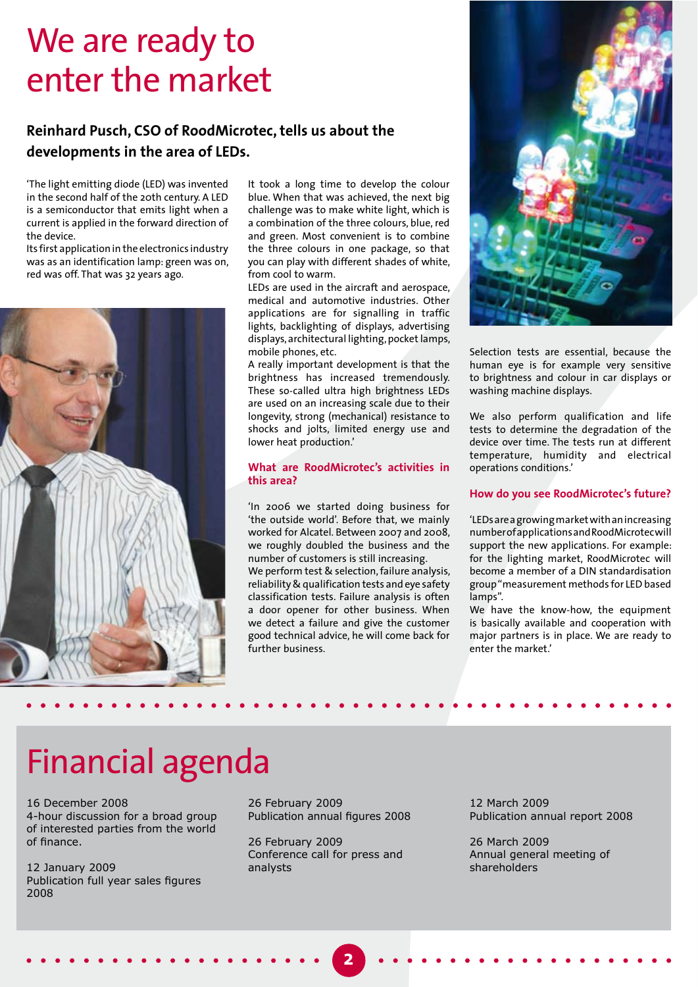### We are ready to enter the market

#### Reinhard Pusch, CSO of RoodMicrotec, tells us about the developments in the area of LEDs.

'The light emitting diode (LED) was invented in the second half of the 20th century. A LED is a semiconductor that emits light when a current is applied in the forward direction of the device.

Its first application in the electronics industry was as an identification lamp: green was on, red was off. That was 32 years ago.



It took a long time to develop the colour blue. When that was achieved, the next big challenge was to make white light, which is a combination of the three colours, blue, red and green. Most convenient is to combine the three colours in one package, so that you can play with different shades of white, from cool to warm.

LEDs are used in the aircraft and aerospace, medical and automotive industries. Other applications are for signalling in traffic lights, backlighting of displays, advertising displays, architectural lighting, pocket lamps, mobile phones, etc.

A really important development is that the brightness has increased tremendously. These so-called ultra high brightness LEDs are used on an increasing scale due to their longevity, strong (mechanical) resistance to shocks and jolts, limited energy use and lower heat production.'

#### **What are RoodMicrotec's activities in** this area?

'In 2006 we started doing business for 'the outside world'. Before that, we mainly worked for Alcatel. Between 2007 and 2008, we roughly doubled the business and the number of customers is still increasing.

We perform test & selection, failure analysis, reliability & qualification tests and eye safety classification tests. Failure analysis is often a door opener for other business. When we detect a failure and give the customer good technical advice, he will come back for further business



Selection tests are essential, because the human eye is for example very sensitive to brightness and colour in car displays or washing machine displays.

We also perform qualification and life tests to determine the degradation of the device over time. The tests run at different temperature, humidity and electrical operations conditions.'

#### How do you see RoodMicrotec's future?

'LEDs are a growing market with an increasing number of applications and Rood Microtec will support the new applications. For example: for the lighting market, RoodMicrotec will become a member of a DIN standardisation group "measurement methods for LED based lamps".

We have the know-how, the equipment is basically available and cooperation with major partners is in place. We are ready to enter the market.'

### Financial agenda

16 December 2008 4-hour discussion for a broad group of interested parties from the world of finance.

12 January 2009 Publication full year sales figures 2008

26 February 2009 Publication annual figures 2008

26 February 2009 Conference call for press and analysts

2

12 March 2009 Publication annual report 2008

26 March 2009 Annual general meeting of shareholders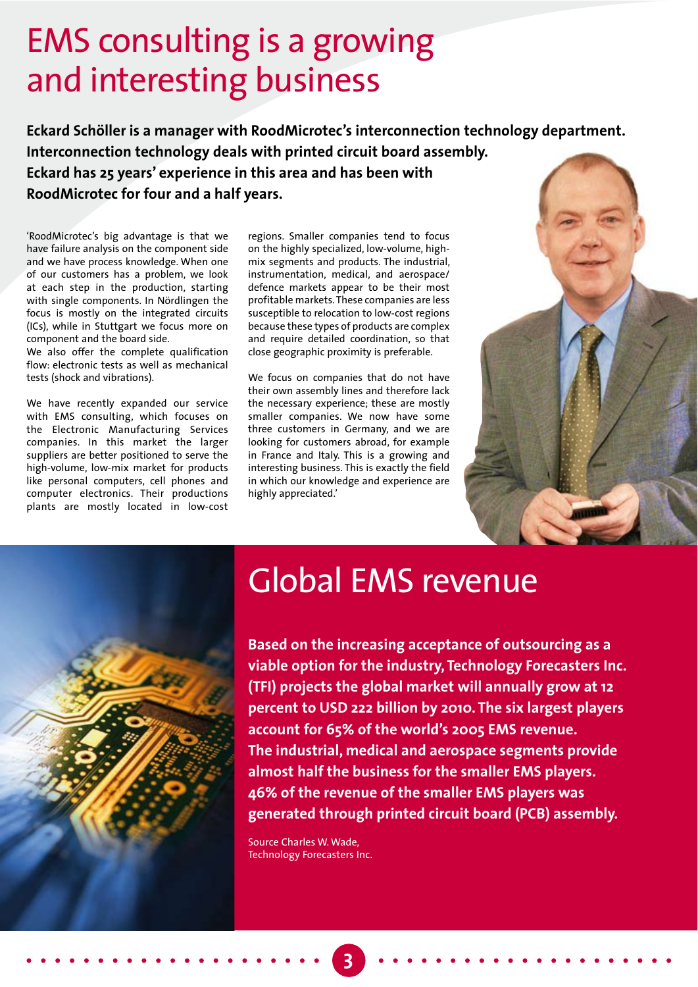### **EMS consulting is a growing** and interesting business

Eckard Schöller is a manager with RoodMicrotec's interconnection technology department. Interconnection technology deals with printed circuit board assembly. Eckard has 25 years' experience in this area and has been with RoodMicrotec for four and a half vears.

'RoodMicrotec's big advantage is that we have failure analysis on the component side and we have process knowledge. When one of our customers has a problem, we look at each step in the production, starting with single components. In Nördlingen the focus is mostly on the integrated circuits (ICs), while in Stuttgart we focus more on component and the board side.

We also offer the complete qualification flow: electronic tests as well as mechanical tests (shock and vibrations).

We have recently expanded our service with EMS consulting, which focuses on the Electronic Manufacturing Services companies. In this market the larger suppliers are better positioned to serve the high-volume, low-mix market for products like personal computers, cell phones and computer electronics. Their productions plants are mostly located in low-cost

regions. Smaller companies tend to focus on the highly specialized, low-volume, highmix segments and products. The industrial, instrumentation, medical, and aerospace/ defence markets appear to be their most profitable markets. These companies are less susceptible to relocation to low-cost regions because these types of products are complex and require detailed coordination, so that close geographic proximity is preferable.

We focus on companies that do not have their own assembly lines and therefore lack the necessary experience; these are mostly smaller companies. We now have some three customers in Germany, and we are looking for customers abroad, for example in France and Italy. This is a growing and interesting business. This is exactly the field in which our knowledge and experience are highly appreciated.'





### **Global EMS revenue**

Based on the increasing acceptance of outsourcing as a viable option for the industry, Technology Forecasters Inc. (TFI) projects the global market will annually grow at 12 percent to USD 222 billion by 2010. The six largest players account for 65% of the world's 2005 EMS revenue. The industrial, medical and aerospace segments provide almost half the business for the smaller EMS players. 46% of the revenue of the smaller EMS players was generated through printed circuit board (PCB) assembly.

Source Charles W. Wade, **Technology Forecasters Inc.**